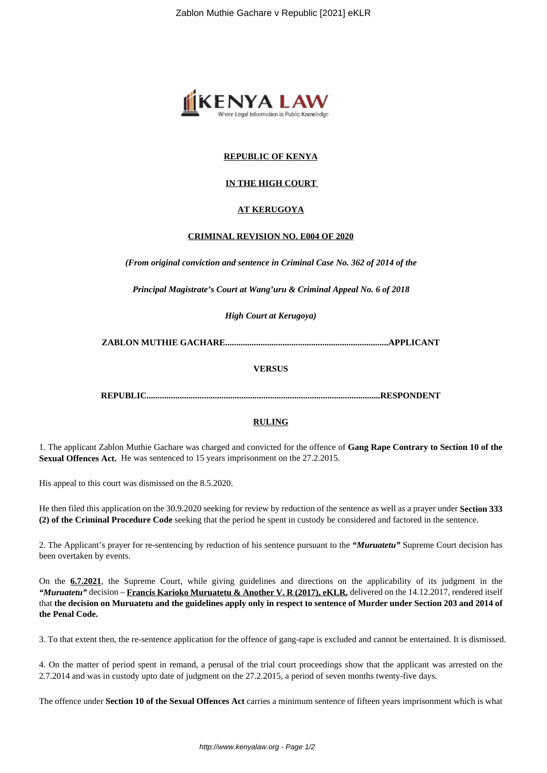

## **REPUBLIC OF KENYA**

## **IN THE HIGH COURT**

## **AT KERUGOYA**

#### **CRIMINAL REVISION NO. E004 OF 2020**

*(From original conviction and sentence in Criminal Case No. 362 of 2014 of the*

*Principal Magistrate's Court at Wang'uru & Criminal Appeal No. 6 of 2018*

*High Court at Kerugoya)*

**ZABLON MUTHIE GACHARE..........................................................................APPLICANT**

#### **VERSUS**

**REPUBLIC..........................................................................................................RESPONDENT**

#### **RULING**

1. The applicant Zablon Muthie Gachare was charged and convicted for the offence of **Gang Rape Contrary to Section 10 of the Sexual Offences Act.** He was sentenced to 15 years imprisonment on the 27.2.2015.

His appeal to this court was dismissed on the 8.5.2020.

He then filed this application on the 30.9.2020 seeking for review by reduction of the sentence as well as a prayer under **Section 333 (2) of the Criminal Procedure Code** seeking that the period he spent in custody be considered and factored in the sentence.

2. The Applicant's prayer for re-sentencing by reduction of his sentence pursuant to the *"Muruatetu"* Supreme Court decision has been overtaken by events.

On the **6.7.2021**, the Supreme Court, while giving guidelines and directions on the applicability of its judgment in the *"Muruatetu"* decision – **Francis Karioko Muruatetu & Another V. R (2017), eKLR,** delivered on the 14.12.2017, rendered itself that **the decision on Muruatetu and the guidelines apply only in respect to sentence of Murder under Section 203 and 2014 of the Penal Code.**

3. To that extent then, the re-sentence application for the offence of gang-rape is excluded and cannot be entertained. It is dismissed.

4. On the matter of period spent in remand, a perusal of the trial court proceedings show that the applicant was arrested on the 2.7.2014 and was in custody upto date of judgment on the 27.2.2015, a period of seven months twenty-five days.

The offence under **Section 10 of the Sexual Offences Act** carries a minimum sentence of fifteen years imprisonment which is what